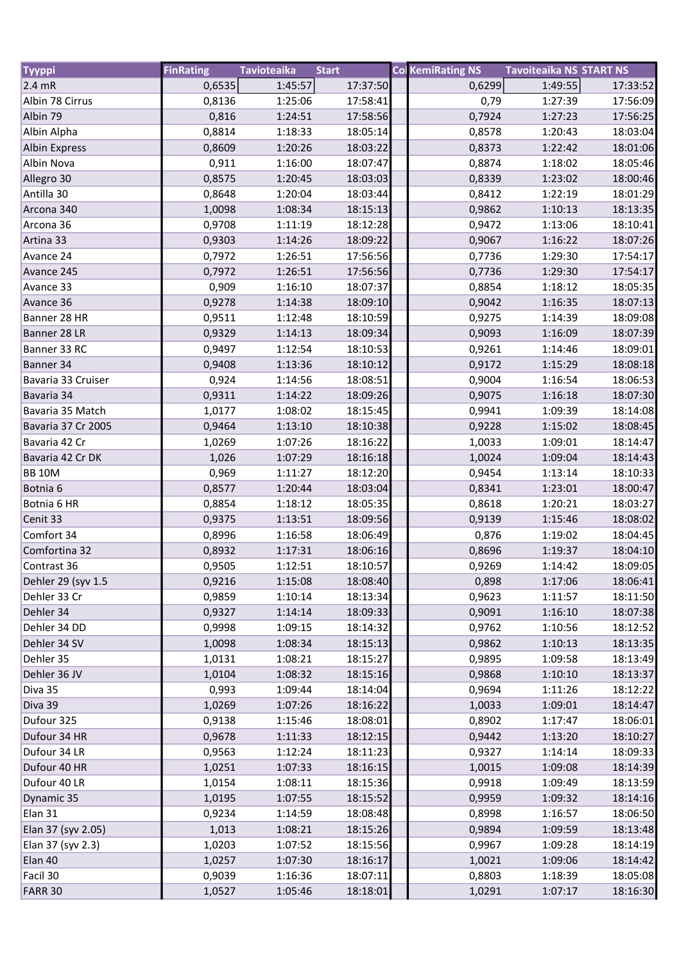| <b>Tyyppi</b>        | <b>FinRating</b> | <b>Tavioteaika</b> | <b>Start</b> | <b>Col KemiRating NS</b> | <b>Tavoiteaika NS START NS</b> |          |
|----------------------|------------------|--------------------|--------------|--------------------------|--------------------------------|----------|
| $2.4$ mR             | 0,6535           | 1:45:57            | 17:37:50     | 0,6299                   | 1:49:55                        | 17:33:52 |
| Albin 78 Cirrus      | 0,8136           | 1:25:06            | 17:58:41     | 0,79                     | 1:27:39                        | 17:56:09 |
| Albin 79             | 0,816            | 1:24:51            | 17:58:56     | 0,7924                   | 1:27:23                        | 17:56:25 |
| Albin Alpha          | 0,8814           | 1:18:33            | 18:05:14     | 0,8578                   | 1:20:43                        | 18:03:04 |
| <b>Albin Express</b> | 0,8609           | 1:20:26            | 18:03:22     | 0,8373                   | 1:22:42                        | 18:01:06 |
| Albin Nova           | 0,911            | 1:16:00            | 18:07:47     | 0,8874                   | 1:18:02                        | 18:05:46 |
| Allegro 30           | 0,8575           | 1:20:45            | 18:03:03     | 0,8339                   | 1:23:02                        | 18:00:46 |
| Antilla 30           | 0,8648           | 1:20:04            | 18:03:44     | 0,8412                   | 1:22:19                        | 18:01:29 |
| Arcona 340           | 1,0098           | 1:08:34            | 18:15:13     | 0,9862                   | 1:10:13                        | 18:13:35 |
| Arcona 36            | 0,9708           | 1:11:19            | 18:12:28     | 0,9472                   | 1:13:06                        | 18:10:41 |
| Artina 33            | 0,9303           | 1:14:26            | 18:09:22     | 0,9067                   | 1:16:22                        | 18:07:26 |
| Avance 24            | 0,7972           | 1:26:51            | 17:56:56     | 0,7736                   | 1:29:30                        | 17:54:17 |
| Avance 245           | 0,7972           | 1:26:51            | 17:56:56     | 0,7736                   | 1:29:30                        | 17:54:17 |
| Avance 33            | 0,909            | 1:16:10            | 18:07:37     | 0,8854                   | 1:18:12                        | 18:05:35 |
| Avance 36            | 0,9278           | 1:14:38            | 18:09:10     | 0,9042                   | 1:16:35                        | 18:07:13 |
| Banner 28 HR         | 0,9511           | 1:12:48            | 18:10:59     | 0,9275                   | 1:14:39                        | 18:09:08 |
| Banner 28 LR         | 0,9329           | 1:14:13            | 18:09:34     | 0,9093                   | 1:16:09                        | 18:07:39 |
| Banner 33 RC         | 0,9497           | 1:12:54            | 18:10:53     | 0,9261                   | 1:14:46                        | 18:09:01 |
| Banner 34            | 0,9408           | 1:13:36            | 18:10:12     | 0,9172                   | 1:15:29                        | 18:08:18 |
| Bavaria 33 Cruiser   | 0,924            | 1:14:56            | 18:08:51     | 0,9004                   | 1:16:54                        | 18:06:53 |
| Bavaria 34           | 0,9311           | 1:14:22            | 18:09:26     | 0,9075                   | 1:16:18                        | 18:07:30 |
| Bavaria 35 Match     | 1,0177           | 1:08:02            | 18:15:45     | 0,9941                   | 1:09:39                        | 18:14:08 |
| Bavaria 37 Cr 2005   | 0,9464           | 1:13:10            | 18:10:38     | 0,9228                   | 1:15:02                        | 18:08:45 |
| Bavaria 42 Cr        | 1,0269           | 1:07:26            | 18:16:22     | 1,0033                   | 1:09:01                        | 18:14:47 |
| Bavaria 42 Cr DK     | 1,026            | 1:07:29            | 18:16:18     | 1,0024                   | 1:09:04                        | 18:14:43 |
| <b>BB 10M</b>        | 0,969            | 1:11:27            | 18:12:20     | 0,9454                   | 1:13:14                        | 18:10:33 |
| Botnia <sub>6</sub>  | 0,8577           | 1:20:44            | 18:03:04     | 0,8341                   | 1:23:01                        | 18:00:47 |
| Botnia 6 HR          | 0,8854           | 1:18:12            | 18:05:35     | 0,8618                   | 1:20:21                        | 18:03:27 |
| Cenit 33             | 0,9375           | 1:13:51            | 18:09:56     | 0,9139                   | 1:15:46                        | 18:08:02 |
| Comfort 34           | 0,8996           | 1:16:58            | 18:06:49     | 0,876                    | 1:19:02                        | 18:04:45 |
| Comfortina 32        | 0,8932           | 1:17:31            | 18:06:16     | 0,8696                   | 1:19:37                        | 18:04:10 |
| Contrast 36          | 0,9505           | 1:12:51            | 18:10:57     | 0,9269                   | 1:14:42                        | 18:09:05 |
| Dehler 29 (syv 1.5   | 0,9216           | 1:15:08            | 18:08:40     | 0,898                    | 1:17:06                        | 18:06:41 |
| Dehler 33 Cr         | 0,9859           | 1:10:14            | 18:13:34     | 0,9623                   | 1:11:57                        | 18:11:50 |
| Dehler 34            | 0,9327           | 1:14:14            | 18:09:33     | 0,9091                   | 1:16:10                        | 18:07:38 |
| Dehler 34 DD         | 0,9998           | 1:09:15            | 18:14:32     | 0,9762                   | 1:10:56                        | 18:12:52 |
| Dehler 34 SV         | 1,0098           | 1:08:34            | 18:15:13     | 0,9862                   | 1:10:13                        | 18:13:35 |
| Dehler 35            | 1,0131           | 1:08:21            | 18:15:27     | 0,9895                   | 1:09:58                        | 18:13:49 |
| Dehler 36 JV         | 1,0104           | 1:08:32            | 18:15:16     | 0,9868                   | 1:10:10                        | 18:13:37 |
| Diva 35              | 0,993            | 1:09:44            | 18:14:04     | 0,9694                   | 1:11:26                        | 18:12:22 |
| Diva 39              | 1,0269           | 1:07:26            | 18:16:22     | 1,0033                   | 1:09:01                        | 18:14:47 |
| Dufour 325           | 0,9138           | 1:15:46            | 18:08:01     | 0,8902                   | 1:17:47                        | 18:06:01 |
| Dufour 34 HR         | 0,9678           | 1:11:33            | 18:12:15     | 0,9442                   | 1:13:20                        | 18:10:27 |
| Dufour 34 LR         | 0,9563           | 1:12:24            | 18:11:23     | 0,9327                   | 1:14:14                        | 18:09:33 |
| Dufour 40 HR         | 1,0251           | 1:07:33            | 18:16:15     | 1,0015                   | 1:09:08                        | 18:14:39 |
| Dufour 40 LR         | 1,0154           | 1:08:11            | 18:15:36     | 0,9918                   | 1:09:49                        | 18:13:59 |
| Dynamic 35           | 1,0195           | 1:07:55            | 18:15:52     | 0,9959                   | 1:09:32                        | 18:14:16 |
| Elan 31              | 0,9234           | 1:14:59            | 18:08:48     | 0,8998                   | 1:16:57                        | 18:06:50 |
| Elan 37 (syv 2.05)   | 1,013            | 1:08:21            | 18:15:26     | 0,9894                   | 1:09:59                        | 18:13:48 |
| Elan 37 (syv 2.3)    | 1,0203           | 1:07:52            | 18:15:56     | 0,9967                   | 1:09:28                        | 18:14:19 |
| Elan 40              | 1,0257           | 1:07:30            | 18:16:17     | 1,0021                   | 1:09:06                        | 18:14:42 |
| Facil 30             | 0,9039           | 1:16:36            | 18:07:11     | 0,8803                   | 1:18:39                        | 18:05:08 |
| FARR 30              | 1,0527           | 1:05:46            | 18:18:01     | 1,0291                   | 1:07:17                        | 18:16:30 |
|                      |                  |                    |              |                          |                                |          |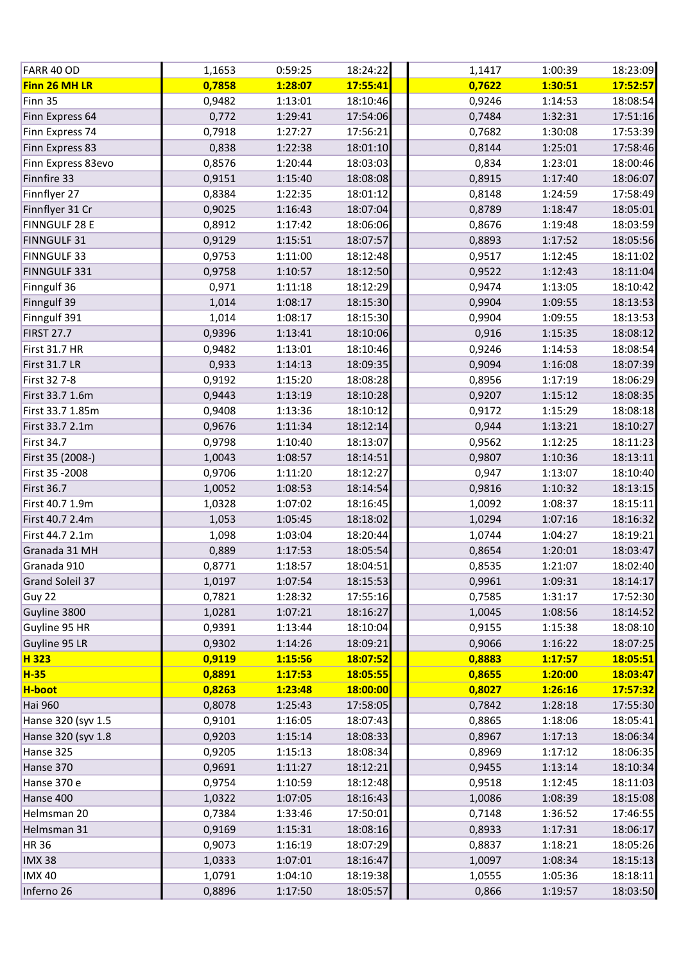| FARR 40 OD           | 1,1653 | 0:59:25 | 18:24:22 | 1,1417 | 1:00:39 | 18:23:09 |
|----------------------|--------|---------|----------|--------|---------|----------|
| Finn 26 MH LR        | 0,7858 | 1:28:07 | 17:55:41 | 0,7622 | 1:30:51 | 17:52:57 |
| Finn 35              | 0,9482 | 1:13:01 | 18:10:46 | 0,9246 | 1:14:53 | 18:08:54 |
| Finn Express 64      | 0,772  | 1:29:41 | 17:54:06 | 0,7484 | 1:32:31 | 17:51:16 |
| Finn Express 74      | 0,7918 | 1:27:27 | 17:56:21 | 0,7682 | 1:30:08 | 17:53:39 |
| Finn Express 83      | 0,838  | 1:22:38 | 18:01:10 | 0,8144 | 1:25:01 | 17:58:46 |
| Finn Express 83evo   | 0,8576 | 1:20:44 | 18:03:03 | 0,834  | 1:23:01 | 18:00:46 |
| Finnfire 33          | 0,9151 | 1:15:40 | 18:08:08 | 0,8915 | 1:17:40 | 18:06:07 |
| Finnflyer 27         | 0,8384 | 1:22:35 | 18:01:12 | 0,8148 | 1:24:59 | 17:58:49 |
| Finnflyer 31 Cr      | 0,9025 | 1:16:43 | 18:07:04 | 0,8789 | 1:18:47 | 18:05:01 |
| <b>FINNGULF 28 E</b> | 0,8912 | 1:17:42 | 18:06:06 | 0,8676 | 1:19:48 | 18:03:59 |
| <b>FINNGULF 31</b>   | 0,9129 | 1:15:51 | 18:07:57 | 0,8893 | 1:17:52 | 18:05:56 |
| <b>FINNGULF 33</b>   | 0,9753 | 1:11:00 | 18:12:48 | 0,9517 | 1:12:45 | 18:11:02 |
| FINNGULF 331         | 0,9758 | 1:10:57 | 18:12:50 | 0,9522 | 1:12:43 | 18:11:04 |
| Finngulf 36          | 0,971  | 1:11:18 | 18:12:29 | 0,9474 | 1:13:05 | 18:10:42 |
| Finngulf 39          | 1,014  | 1:08:17 | 18:15:30 | 0,9904 | 1:09:55 | 18:13:53 |
| Finngulf 391         | 1,014  | 1:08:17 | 18:15:30 | 0,9904 | 1:09:55 | 18:13:53 |
| <b>FIRST 27.7</b>    | 0,9396 | 1:13:41 | 18:10:06 | 0,916  | 1:15:35 | 18:08:12 |
| <b>First 31.7 HR</b> | 0,9482 | 1:13:01 | 18:10:46 | 0,9246 | 1:14:53 | 18:08:54 |
| <b>First 31.7 LR</b> | 0,933  | 1:14:13 | 18:09:35 | 0,9094 | 1:16:08 | 18:07:39 |
| First 32 7-8         | 0,9192 | 1:15:20 | 18:08:28 | 0,8956 | 1:17:19 | 18:06:29 |
| First 33.7 1.6m      | 0,9443 | 1:13:19 | 18:10:28 | 0,9207 | 1:15:12 | 18:08:35 |
| First 33.7 1.85m     | 0,9408 | 1:13:36 | 18:10:12 | 0,9172 | 1:15:29 | 18:08:18 |
| First 33.7 2.1m      | 0,9676 | 1:11:34 | 18:12:14 | 0,944  | 1:13:21 | 18:10:27 |
| <b>First 34.7</b>    | 0,9798 | 1:10:40 | 18:13:07 | 0,9562 | 1:12:25 | 18:11:23 |
| First 35 (2008-)     | 1,0043 | 1:08:57 | 18:14:51 | 0,9807 | 1:10:36 | 18:13:11 |
| First 35 - 2008      | 0,9706 | 1:11:20 | 18:12:27 | 0,947  | 1:13:07 | 18:10:40 |
| <b>First 36.7</b>    | 1,0052 | 1:08:53 | 18:14:54 | 0,9816 | 1:10:32 | 18:13:15 |
| First 40.7 1.9m      | 1,0328 | 1:07:02 | 18:16:45 | 1,0092 | 1:08:37 | 18:15:11 |
| First 40.7 2.4m      | 1,053  | 1:05:45 | 18:18:02 | 1,0294 | 1:07:16 | 18:16:32 |
| First 44.7 2.1m      | 1,098  | 1:03:04 | 18:20:44 | 1,0744 | 1:04:27 | 18:19:21 |
| Granada 31 MH        | 0,889  | 1:17:53 | 18:05:54 | 0,8654 | 1:20:01 | 18:03:47 |
| Granada 910          | 0,8771 | 1:18:57 | 18:04:51 | 0,8535 | 1:21:07 | 18:02:40 |
| Grand Soleil 37      | 1,0197 | 1:07:54 | 18:15:53 | 0,9961 | 1:09:31 | 18:14:17 |
| Guy 22               | 0,7821 | 1:28:32 | 17:55:16 | 0,7585 | 1:31:17 | 17:52:30 |
| Guyline 3800         | 1,0281 | 1:07:21 | 18:16:27 | 1,0045 | 1:08:56 | 18:14:52 |
| Guyline 95 HR        | 0,9391 | 1:13:44 | 18:10:04 | 0,9155 | 1:15:38 | 18:08:10 |
| Guyline 95 LR        | 0,9302 | 1:14:26 | 18:09:21 | 0,9066 | 1:16:22 | 18:07:25 |
| H 323                | 0,9119 | 1:15:56 | 18:07:52 | 0,8883 | 1:17:57 | 18:05:51 |
| <b>H-35</b>          | 0,8891 | 1:17:53 | 18:05:55 | 0,8655 | 1:20:00 | 18:03:47 |
| H-boot               | 0,8263 | 1:23:48 | 18:00:00 | 0,8027 | 1:26:16 | 17:57:32 |
| <b>Hai 960</b>       | 0,8078 | 1:25:43 | 17:58:05 | 0,7842 | 1:28:18 | 17:55:30 |
| Hanse 320 (syv 1.5   | 0,9101 | 1:16:05 | 18:07:43 | 0,8865 | 1:18:06 | 18:05:41 |
| Hanse 320 (syv 1.8   | 0,9203 | 1:15:14 | 18:08:33 | 0,8967 | 1:17:13 | 18:06:34 |
| Hanse 325            | 0,9205 | 1:15:13 | 18:08:34 | 0,8969 | 1:17:12 | 18:06:35 |
| Hanse 370            | 0,9691 | 1:11:27 | 18:12:21 | 0,9455 | 1:13:14 | 18:10:34 |
| Hanse 370 e          | 0,9754 | 1:10:59 | 18:12:48 | 0,9518 | 1:12:45 | 18:11:03 |
| Hanse 400            | 1,0322 | 1:07:05 | 18:16:43 | 1,0086 | 1:08:39 | 18:15:08 |
| Helmsman 20          | 0,7384 | 1:33:46 | 17:50:01 | 0,7148 | 1:36:52 | 17:46:55 |
| Helmsman 31          | 0,9169 | 1:15:31 | 18:08:16 | 0,8933 | 1:17:31 | 18:06:17 |
| <b>HR36</b>          | 0,9073 | 1:16:19 | 18:07:29 | 0,8837 | 1:18:21 | 18:05:26 |
| <b>IMX38</b>         | 1,0333 | 1:07:01 | 18:16:47 | 1,0097 | 1:08:34 | 18:15:13 |
| <b>IMX 40</b>        | 1,0791 | 1:04:10 | 18:19:38 | 1,0555 | 1:05:36 | 18:18:11 |
| Inferno 26           | 0,8896 | 1:17:50 | 18:05:57 | 0,866  | 1:19:57 | 18:03:50 |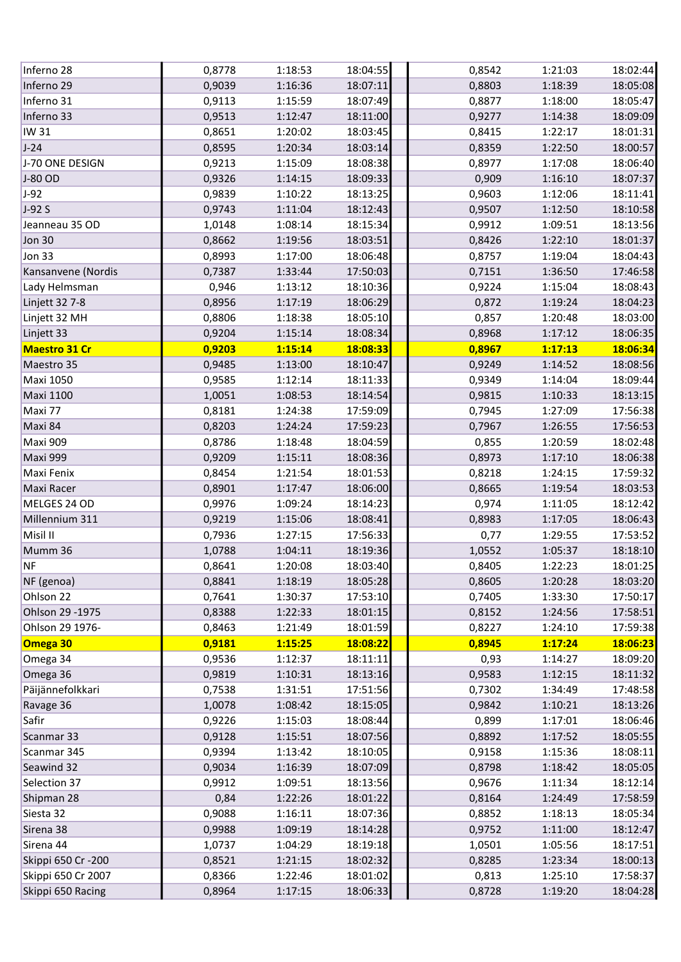| Inferno 28           | 0,8778 | 1:18:53 | 18:04:55 | 0,8542 | 1:21:03 | 18:02:44 |
|----------------------|--------|---------|----------|--------|---------|----------|
| Inferno 29           | 0,9039 | 1:16:36 | 18:07:11 | 0,8803 | 1:18:39 | 18:05:08 |
| Inferno 31           | 0,9113 | 1:15:59 | 18:07:49 | 0,8877 | 1:18:00 | 18:05:47 |
| Inferno 33           | 0,9513 | 1:12:47 | 18:11:00 | 0,9277 | 1:14:38 | 18:09:09 |
| <b>IW 31</b>         | 0,8651 | 1:20:02 | 18:03:45 | 0,8415 | 1:22:17 | 18:01:31 |
| $J-24$               | 0,8595 | 1:20:34 | 18:03:14 | 0,8359 | 1:22:50 | 18:00:57 |
| J-70 ONE DESIGN      | 0,9213 | 1:15:09 | 18:08:38 | 0,8977 | 1:17:08 | 18:06:40 |
| J-80 OD              | 0,9326 | 1:14:15 | 18:09:33 | 0,909  | 1:16:10 | 18:07:37 |
| $J-92$               | 0,9839 | 1:10:22 | 18:13:25 | 0,9603 | 1:12:06 | 18:11:41 |
| $J-92S$              | 0,9743 | 1:11:04 | 18:12:43 | 0,9507 | 1:12:50 | 18:10:58 |
| Jeanneau 35 OD       | 1,0148 | 1:08:14 | 18:15:34 | 0,9912 | 1:09:51 | 18:13:56 |
| Jon 30               | 0,8662 | 1:19:56 | 18:03:51 | 0,8426 | 1:22:10 | 18:01:37 |
| Jon 33               | 0,8993 | 1:17:00 | 18:06:48 | 0,8757 | 1:19:04 | 18:04:43 |
| Kansanvene (Nordis   | 0,7387 | 1:33:44 | 17:50:03 | 0,7151 | 1:36:50 | 17:46:58 |
| Lady Helmsman        | 0,946  | 1:13:12 | 18:10:36 | 0,9224 | 1:15:04 | 18:08:43 |
| Linjett 32 7-8       | 0,8956 | 1:17:19 | 18:06:29 | 0,872  | 1:19:24 | 18:04:23 |
| Linjett 32 MH        | 0,8806 | 1:18:38 | 18:05:10 | 0,857  | 1:20:48 | 18:03:00 |
| Linjett 33           | 0,9204 | 1:15:14 | 18:08:34 | 0,8968 | 1:17:12 | 18:06:35 |
| <b>Maestro 31 Cr</b> | 0,9203 | 1:15:14 | 18:08:33 | 0,8967 | 1:17:13 | 18:06:34 |
| Maestro 35           | 0,9485 | 1:13:00 | 18:10:47 | 0,9249 | 1:14:52 | 18:08:56 |
| <b>Maxi 1050</b>     | 0,9585 | 1:12:14 | 18:11:33 | 0,9349 | 1:14:04 | 18:09:44 |
| <b>Maxi 1100</b>     | 1,0051 | 1:08:53 | 18:14:54 | 0,9815 | 1:10:33 | 18:13:15 |
| Maxi 77              | 0,8181 | 1:24:38 | 17:59:09 | 0,7945 | 1:27:09 | 17:56:38 |
| Maxi 84              | 0,8203 | 1:24:24 | 17:59:23 | 0,7967 | 1:26:55 | 17:56:53 |
| Maxi 909             | 0,8786 | 1:18:48 | 18:04:59 | 0,855  | 1:20:59 | 18:02:48 |
| Maxi 999             | 0,9209 | 1:15:11 | 18:08:36 | 0,8973 | 1:17:10 | 18:06:38 |
| Maxi Fenix           | 0,8454 | 1:21:54 | 18:01:53 | 0,8218 | 1:24:15 | 17:59:32 |
| Maxi Racer           | 0,8901 | 1:17:47 | 18:06:00 | 0,8665 | 1:19:54 | 18:03:53 |
| MELGES 24 OD         | 0,9976 | 1:09:24 | 18:14:23 | 0,974  | 1:11:05 | 18:12:42 |
| Millennium 311       | 0,9219 | 1:15:06 | 18:08:41 | 0,8983 | 1:17:05 | 18:06:43 |
| Misil II             | 0,7936 | 1:27:15 | 17:56:33 | 0,77   | 1:29:55 | 17:53:52 |
| Mumm 36              | 1,0788 | 1:04:11 | 18:19:36 | 1,0552 | 1:05:37 | 18:18:10 |
| <b>NF</b>            | 0,8641 | 1:20:08 | 18:03:40 | 0,8405 | 1:22:23 | 18:01:25 |
| NF (genoa)           | 0,8841 | 1:18:19 | 18:05:28 | 0,8605 | 1:20:28 | 18:03:20 |
| Ohlson 22            | 0,7641 | 1:30:37 | 17:53:10 | 0,7405 | 1:33:30 | 17:50:17 |
| Ohlson 29 - 1975     | 0,8388 | 1:22:33 | 18:01:15 | 0,8152 | 1:24:56 | 17:58:51 |
| Ohlson 29 1976-      | 0,8463 | 1:21:49 | 18:01:59 | 0,8227 | 1:24:10 | 17:59:38 |
| Omega 30             | 0,9181 | 1:15:25 | 18:08:22 | 0,8945 | 1:17:24 | 18:06:23 |
| Omega 34             | 0,9536 | 1:12:37 | 18:11:11 | 0,93   | 1:14:27 | 18:09:20 |
| Omega 36             | 0,9819 | 1:10:31 | 18:13:16 | 0,9583 | 1:12:15 | 18:11:32 |
| Päijännefolkkari     | 0,7538 | 1:31:51 | 17:51:56 | 0,7302 | 1:34:49 | 17:48:58 |
| Ravage 36            | 1,0078 | 1:08:42 | 18:15:05 | 0,9842 | 1:10:21 | 18:13:26 |
| Safir                | 0,9226 | 1:15:03 | 18:08:44 | 0,899  | 1:17:01 | 18:06:46 |
| Scanmar 33           | 0,9128 | 1:15:51 | 18:07:56 | 0,8892 | 1:17:52 | 18:05:55 |
| Scanmar 345          | 0,9394 | 1:13:42 | 18:10:05 | 0,9158 | 1:15:36 | 18:08:11 |
| Seawind 32           | 0,9034 | 1:16:39 | 18:07:09 | 0,8798 | 1:18:42 | 18:05:05 |
| Selection 37         | 0,9912 | 1:09:51 | 18:13:56 | 0,9676 | 1:11:34 | 18:12:14 |
| Shipman 28           | 0,84   | 1:22:26 | 18:01:22 | 0,8164 | 1:24:49 | 17:58:59 |
| Siesta 32            | 0,9088 | 1:16:11 | 18:07:36 | 0,8852 | 1:18:13 | 18:05:34 |
| Sirena 38            | 0,9988 | 1:09:19 | 18:14:28 | 0,9752 | 1:11:00 | 18:12:47 |
| Sirena 44            | 1,0737 | 1:04:29 | 18:19:18 | 1,0501 | 1:05:56 | 18:17:51 |
| Skippi 650 Cr -200   | 0,8521 | 1:21:15 | 18:02:32 | 0,8285 | 1:23:34 | 18:00:13 |
| Skippi 650 Cr 2007   | 0,8366 | 1:22:46 | 18:01:02 | 0,813  | 1:25:10 | 17:58:37 |
| Skippi 650 Racing    | 0,8964 | 1:17:15 | 18:06:33 | 0,8728 | 1:19:20 | 18:04:28 |
|                      |        |         |          |        |         |          |